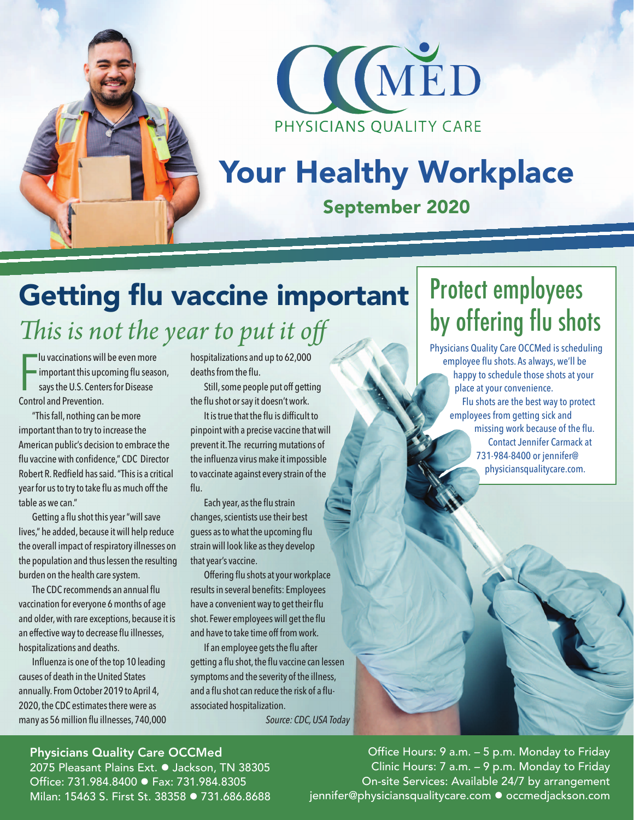



# Your Healthy Workplace

### September 2020

## Getting flu vaccine important

*This is not the year to put it off*

F lu vaccinations will be even more important this upcoming flu season, says the U.S. Centers for Disease Control and Prevention.

"This fall, nothing can be more important than to try to increase the American public's decision to embrace the flu vaccine with confidence," CDC Director Robert R. Redfield has said. "This is a critical year for us to try to take flu as much off the table as we can."

Getting a flu shot this year "will save lives," he added, because it will help reduce the overall impact of respiratory illnesses on the population and thus lessen the resulting burden on the health care system.

The CDC recommends an annual flu vaccination for everyone 6 months of age and older, with rare exceptions, because it is an effective way to decrease flu illnesses, hospitalizations and deaths.

Influenza is one of the top 10 leading causes of death in the United States annually. From October 2019 to April 4, 2020, the CDC estimates there were as many as 56 million flu illnesses, 740,000 hospitalizations and up to 62,000 deaths from the flu.

Still, some people put off getting the flu shot or say it doesn't work.

It is true that the flu is difficult to pinpoint with a precise vaccine that will prevent it. The recurring mutations of the influenza virus make it impossible to vaccinate against every strain of the flu.

Each year, as the flu strain changes, scientists use their best guess as to what the upcoming flu strain will look like as they develop that year's vaccine.

Offering flu shots at your workplace results in several benefits: Employees have a convenient way to get their flu shot. Fewer employees will get the flu and have to take time off from work.

If an employee gets the flu after getting a flu shot, the flu vaccine can lessen symptoms and the severity of the illness, and a flu shot can reduce the risk of a fluassociated hospitalization.

*Source: CDC, USA Today*

## Protect employees by offering flu shots

Physicians Quality Care OCCMed is scheduling employee flu shots. As always, we'll be happy to schedule those shots at your place at your convenience. Flu shots are the best way to protect employees from getting sick and missing work because of the flu. Contact Jennifer Carmack at 731-984-8400 or jennifer@ physiciansqualitycare.com.

#### Physicians Quality Care OCCMed

2075 Pleasant Plains Ext. · Jackson, TN 38305 Office: 731.984.8400 ● Fax: 731.984.8305 Milan: 15463 S. First St. 38358 · 731.686.8688

Office Hours: 9 a.m. – 5 p.m. Monday to Friday Clinic Hours: 7 a.m. – 9 p.m. Monday to Friday On-site Services: Available 24/7 by arrangement jennifer@physiciansqualitycare.com • occmedjackson.com